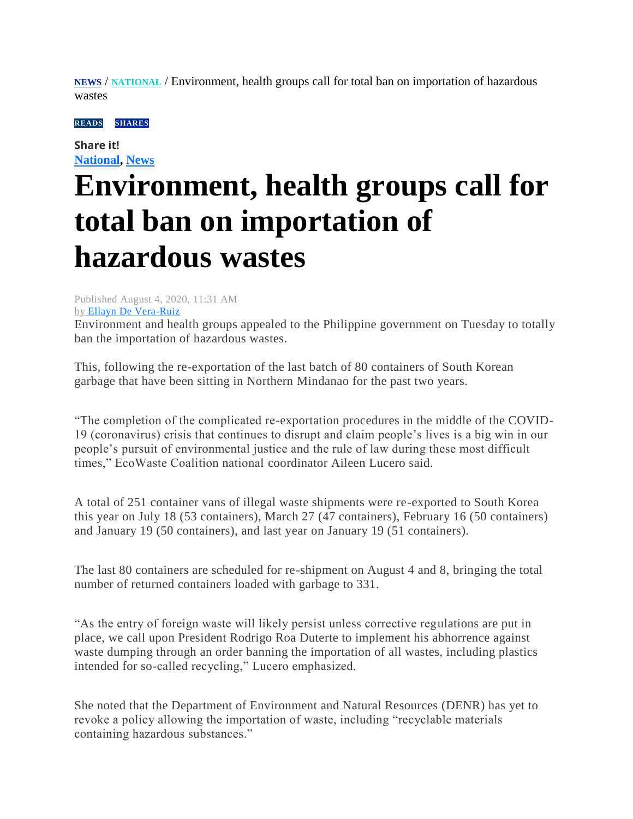**[NEWS](https://mb.com.ph/category/news/)** / **[NATIONAL](https://mb.com.ph/category/news/national/)** / Environment, health groups call for total ban on importation of hazardous wastes

**READSSHARES** 

**Share it! [National,](https://mb.com.ph/category/news/national/) [News](https://mb.com.ph/category/news/)**

## **Environment, health groups call for total ban on importation of hazardous wastes**

Published August 4, 2020, 11:31 AM

by [Ellayn De Vera-Ruiz](https://mb.com.ph/author/ellayn-de-vera-ruiz)

Environment and health groups appealed to the Philippine government on Tuesday to totally ban the importation of hazardous wastes.

This, following the re-exportation of the last batch of 80 containers of South Korean garbage that have been sitting in Northern Mindanao for the past two years.

"The completion of the complicated re-exportation procedures in the middle of the COVID-19 (coronavirus) crisis that continues to disrupt and claim people's lives is a big win in our people's pursuit of environmental justice and the rule of law during these most difficult times," EcoWaste Coalition national coordinator Aileen Lucero said.

A total of 251 container vans of illegal waste shipments were re-exported to South Korea this year on July 18 (53 containers), March 27 (47 containers), February 16 (50 containers) and January 19 (50 containers), and last year on January 19 (51 containers).

The last 80 containers are scheduled for re-shipment on August 4 and 8, bringing the total number of returned containers loaded with garbage to 331.

"As the entry of foreign waste will likely persist unless corrective regulations are put in place, we call upon President Rodrigo Roa Duterte to implement his abhorrence against waste dumping through an order banning the importation of all wastes, including plastics intended for so-called recycling," Lucero emphasized.

She noted that the Department of Environment and Natural Resources (DENR) has yet to revoke a policy allowing the importation of waste, including "recyclable materials containing hazardous substances."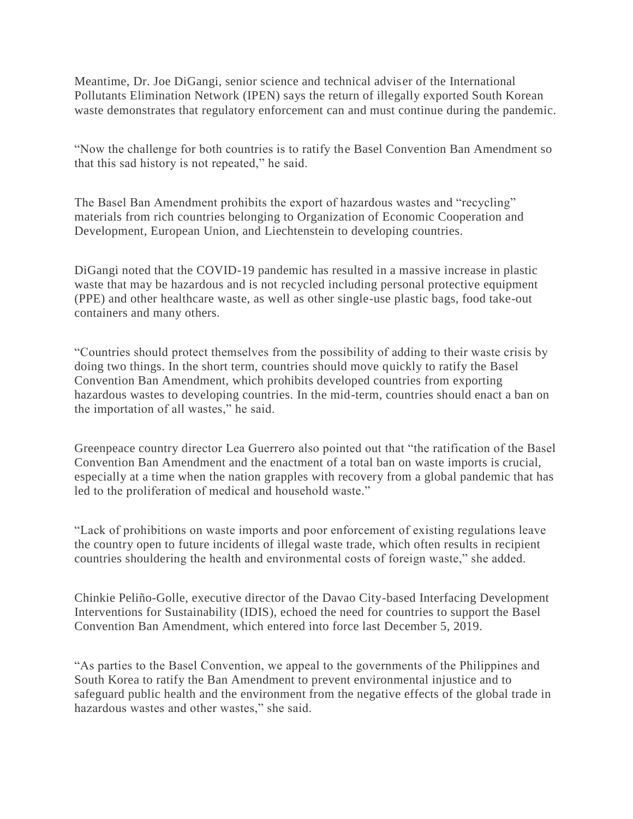Meantime, Dr. Joe DiGangi, senior science and technical adviser of the International Pollutants Elimination Network (IPEN) says the return of illegally exported South Korean waste demonstrates that regulatory enforcement can and must continue during the pandemic.

"Now the challenge for both countries is to ratify the Basel Convention Ban Amendment so that this sad history is not repeated," he said.

The Basel Ban Amendment prohibits the export of hazardous wastes and "recycling" materials from rich countries belonging to Organization of Economic Cooperation and Development, European Union, and Liechtenstein to developing countries.

DiGangi noted that the COVID-19 pandemic has resulted in a massive increase in plastic waste that may be hazardous and is not recycled including personal protective equipment (PPE) and other healthcare waste, as well as other single-use plastic bags, food take-out containers and many others.

"Countries should protect themselves from the possibility of adding to their waste crisis by doing two things. In the short term, countries should move quickly to ratify the Basel Convention Ban Amendment, which prohibits developed countries from exporting hazardous wastes to developing countries. In the mid-term, countries should enact a ban on the importation of all wastes," he said.

Greenpeace country director Lea Guerrero also pointed out that "the ratification of the Basel Convention Ban Amendment and the enactment of a total ban on waste imports is crucial, especially at a time when the nation grapples with recovery from a global pandemic that has led to the proliferation of medical and household waste."

"Lack of prohibitions on waste imports and poor enforcement of existing regulations leave the country open to future incidents of illegal waste trade, which often results in recipient countries shouldering the health and environmental costs of foreign waste," she added.

Chinkie Peliño-Golle, executive director of the Davao City-based Interfacing Development Interventions for Sustainability (IDIS), echoed the need for countries to support the Basel Convention Ban Amendment, which entered into force last December 5, 2019.

"As parties to the Basel Convention, we appeal to the governments of the Philippines and South Korea to ratify the Ban Amendment to prevent environmental injustice and to safeguard public health and the environment from the negative effects of the global trade in hazardous wastes and other wastes," she said.